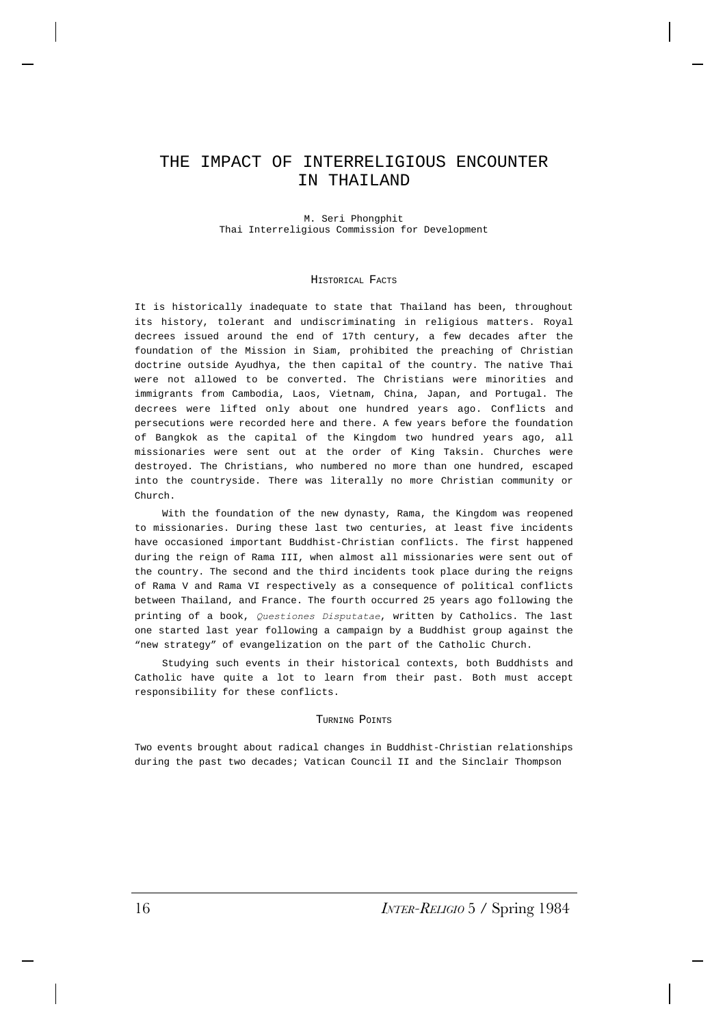# THE IMPACT OF INTERRELIGIOUS ENCOUNTER IN THAILAND

M. Seri Phongphit Thai Interreligious Commission for Development

#### HISTORICAL FACTS

It is historically inadequate to state that Thailand has been, throughout its history, tolerant and undiscriminating in religious matters. Royal decrees issued around the end of 17th century, a few decades after the foundation of the Mission in Siam, prohibited the preaching of Christian doctrine outside Ayudhya, the then capital of the country. The native Thai were not allowed to be converted. The Christians were minorities and immigrants from Cambodia, Laos, Vietnam, China, Japan, and Portugal. The decrees were lifted only about one hundred years ago. Conflicts and persecutions were recorded here and there. A few years before the foundation of Bangkok as the capital of the Kingdom two hundred years ago, all missionaries were sent out at the order of King Taksin. Churches were destroyed. The Christians, who numbered no more than one hundred, escaped into the countryside. There was literally no more Christian community or Church.

With the foundation of the new dynasty, Rama, the Kingdom was reopened to missionaries. During these last two centuries, at least five incidents have occasioned important Buddhist-Christian conflicts. The first happened during the reign of Rama III, when almost all missionaries were sent out of the country. The second and the third incidents took place during the reigns of Rama V and Rama VI respectively as a consequence of political conflicts between Thailand, and France. The fourth occurred 25 years ago following the printing of a book, *Questiones Disputatae*, written by Catholics. The last one started last year following a campaign by a Buddhist group against the "new strategy" of evangelization on the part of the Catholic Church.

Studying such events in their historical contexts, both Buddhists and Catholic have quite a lot to learn from their past. Both must accept responsibility for these conflicts.

# TURNING POINTS

Two events brought about radical changes in Buddhist-Christian relationships during the past two decades; Vatican Council II and the Sinclair Thompson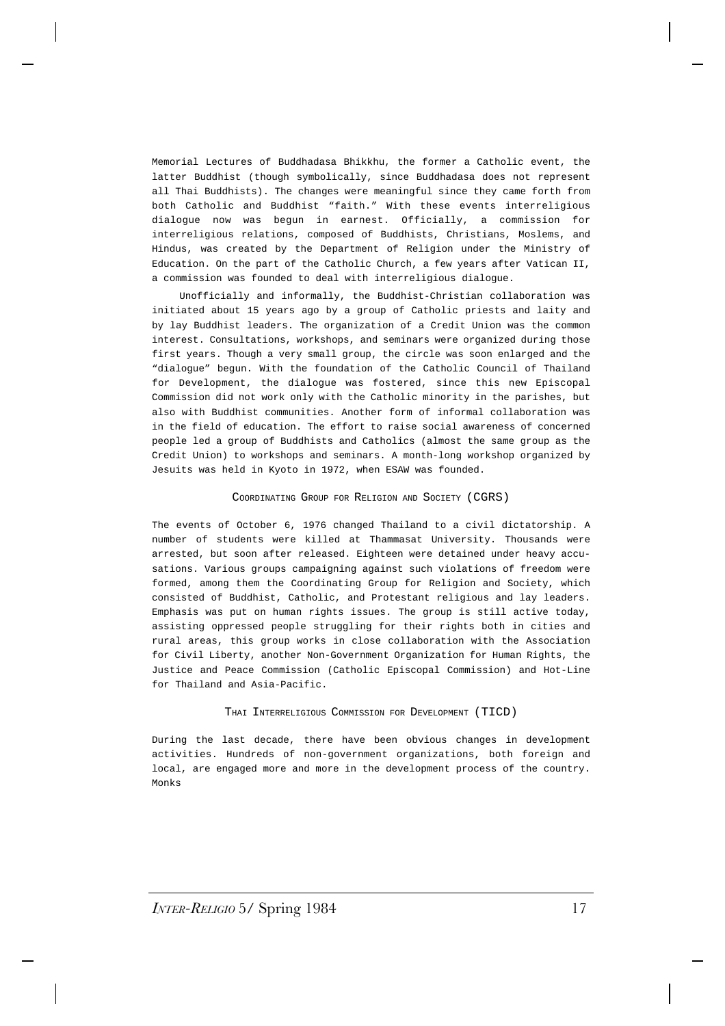Memorial Lectures of Buddhadasa Bhikkhu, the former a Catholic event, the latter Buddhist (though symbolically, since Buddhadasa does not represent all Thai Buddhists). The changes were meaningful since they came forth from both Catholic and Buddhist "faith." With these events interreligious dialogue now was begun in earnest. Officially, a commission for interreligious relations, composed of Buddhists, Christians, Moslems, and Hindus, was created by the Department of Religion under the Ministry of Education. On the part of the Catholic Church, a few years after Vatican II, a commission was founded to deal with interreligious dialogue.

Unofficially and informally, the Buddhist-Christian collaboration was initiated about 15 years ago by a group of Catholic priests and laity and by lay Buddhist leaders. The organization of a Credit Union was the common interest. Consultations, workshops, and seminars were organized during those first years. Though a very small group, the circle was soon enlarged and the "dialogue" begun. With the foundation of the Catholic Council of Thailand for Development, the dialogue was fostered, since this new Episcopal Commission did not work only with the Catholic minority in the parishes, but also with Buddhist communities. Another form of informal collaboration was in the field of education. The effort to raise social awareness of concerned people led a group of Buddhists and Catholics (almost the same group as the Credit Union) to workshops and seminars. A month-long workshop organized by Jesuits was held in Kyoto in 1972, when ESAW was founded.

# COORDINATING GROUP FOR RELIGION AND SOCIETY (CGRS)

The events of October 6, 1976 changed Thailand to a civil dictatorship. A number of students were killed at Thammasat University. Thousands were arrested, but soon after released. Eighteen were detained under heavy accusations. Various groups campaigning against such violations of freedom were formed, among them the Coordinating Group for Religion and Society, which consisted of Buddhist, Catholic, and Protestant religious and lay leaders. Emphasis was put on human rights issues. The group is still active today, assisting oppressed people struggling for their rights both in cities and rural areas, this group works in close collaboration with the Association for Civil Liberty, another Non-Government Organization for Human Rights, the Justice and Peace Commission (Catholic Episcopal Commission) and Hot-Line for Thailand and Asia-Pacific.

# THAI INTERRELIGIOUS COMMISSION FOR DEVELOPMENT (TICD)

During the last decade, there have been obvious changes in development activities. Hundreds of non-government organizations, both foreign and local, are engaged more and more in the development process of the country. Monks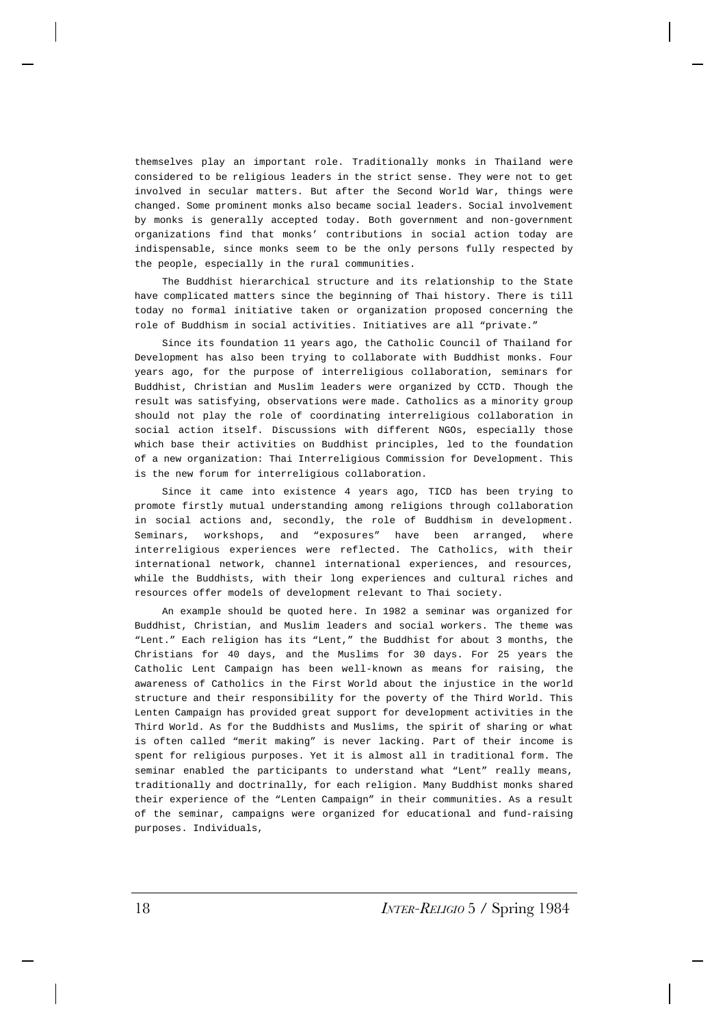themselves play an important role. Traditionally monks in Thailand were considered to be religious leaders in the strict sense. They were not to get involved in secular matters. But after the Second World War, things were changed. Some prominent monks also became social leaders. Social involvement by monks is generally accepted today. Both government and non-government organizations find that monks' contributions in social action today are indispensable, since monks seem to be the only persons fully respected by the people, especially in the rural communities.

The Buddhist hierarchical structure and its relationship to the State have complicated matters since the beginning of Thai history. There is till today no formal initiative taken or organization proposed concerning the role of Buddhism in social activities. Initiatives are all "private."

Since its foundation 11 years ago, the Catholic Council of Thailand for Development has also been trying to collaborate with Buddhist monks. Four years ago, for the purpose of interreligious collaboration, seminars for Buddhist, Christian and Muslim leaders were organized by CCTD. Though the result was satisfying, observations were made. Catholics as a minority group should not play the role of coordinating interreligious collaboration in social action itself. Discussions with different NGOs, especially those which base their activities on Buddhist principles, led to the foundation of a new organization: Thai Interreligious Commission for Development. This is the new forum for interreligious collaboration.

Since it came into existence 4 years ago, TICD has been trying to promote firstly mutual understanding among religions through collaboration in social actions and, secondly, the role of Buddhism in development. Seminars, workshops, and "exposures" have been arranged, where interreligious experiences were reflected. The Catholics, with their international network, channel international experiences, and resources, while the Buddhists, with their long experiences and cultural riches and resources offer models of development relevant to Thai society.

An example should be quoted here. In 1982 a seminar was organized for Buddhist, Christian, and Muslim leaders and social workers. The theme was "Lent." Each religion has its "Lent," the Buddhist for about 3 months, the Christians for 40 days, and the Muslims for 30 days. For 25 years the Catholic Lent Campaign has been well-known as means for raising, the awareness of Catholics in the First World about the injustice in the world structure and their responsibility for the poverty of the Third World. This Lenten Campaign has provided great support for development activities in the Third World. As for the Buddhists and Muslims, the spirit of sharing or what is often called "merit making" is never lacking. Part of their income is spent for religious purposes. Yet it is almost all in traditional form. The seminar enabled the participants to understand what "Lent" really means, traditionally and doctrinally, for each religion. Many Buddhist monks shared their experience of the "Lenten Campaign" in their communities. As a result of the seminar, campaigns were organized for educational and fund-raising purposes. Individuals,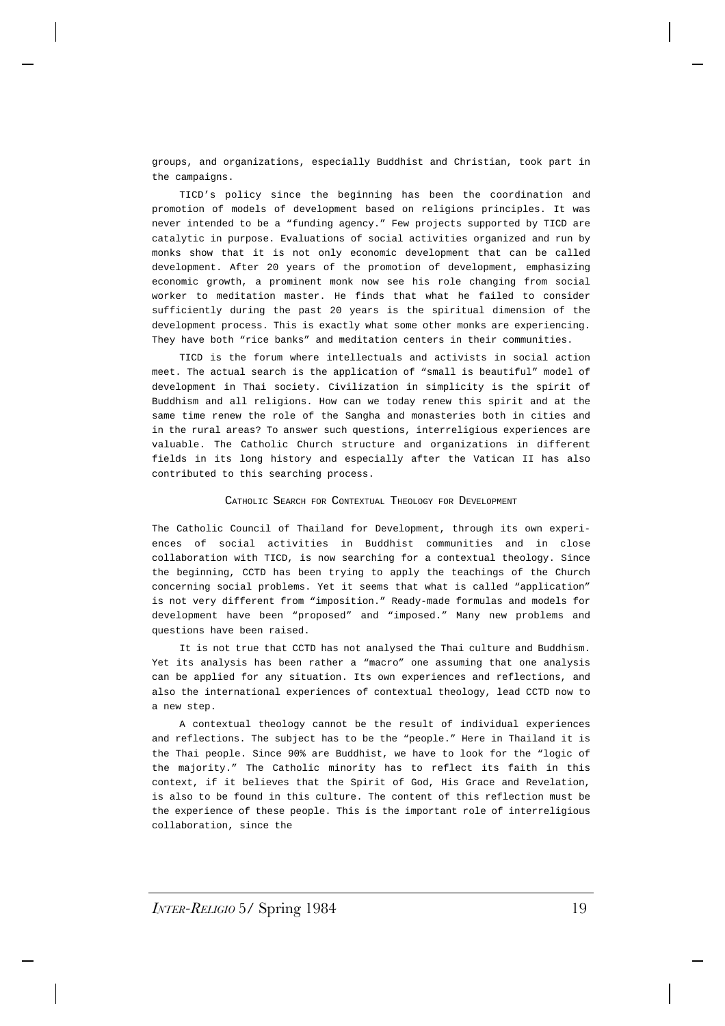groups, and organizations, especially Buddhist and Christian, took part in the campaigns.

TICD's policy since the beginning has been the coordination and promotion of models of development based on religions principles. It was never intended to be a "funding agency." Few projects supported by TICD are catalytic in purpose. Evaluations of social activities organized and run by monks show that it is not only economic development that can be called development. After 20 years of the promotion of development, emphasizing economic growth, a prominent monk now see his role changing from social worker to meditation master. He finds that what he failed to consider sufficiently during the past 20 years is the spiritual dimension of the development process. This is exactly what some other monks are experiencing. They have both "rice banks" and meditation centers in their communities.

TICD is the forum where intellectuals and activists in social action meet. The actual search is the application of "small is beautiful" model of development in Thai society. Civilization in simplicity is the spirit of Buddhism and all religions. How can we today renew this spirit and at the same time renew the role of the Sangha and monasteries both in cities and in the rural areas? To answer such questions, interreligious experiences are valuable. The Catholic Church structure and organizations in different fields in its long history and especially after the Vatican II has also contributed to this searching process.

# CATHOLIC SEARCH FOR CONTEXTUAL THEOLOGY FOR DEVELOPMENT

The Catholic Council of Thailand for Development, through its own experiences of social activities in Buddhist communities and in close collaboration with TICD, is now searching for a contextual theology. Since the beginning, CCTD has been trying to apply the teachings of the Church concerning social problems. Yet it seems that what is called "application" is not very different from "imposition." Ready-made formulas and models for development have been "proposed" and "imposed." Many new problems and questions have been raised.

It is not true that CCTD has not analysed the Thai culture and Buddhism. Yet its analysis has been rather a "macro" one assuming that one analysis can be applied for any situation. Its own experiences and reflections, and also the international experiences of contextual theology, lead CCTD now to a new step.

A contextual theology cannot be the result of individual experiences and reflections. The subject has to be the "people." Here in Thailand it is the Thai people. Since 90% are Buddhist, we have to look for the "logic of the majority." The Catholic minority has to reflect its faith in this context, if it believes that the Spirit of God, His Grace and Revelation, is also to be found in this culture. The content of this reflection must be the experience of these people. This is the important role of interreligious collaboration, since the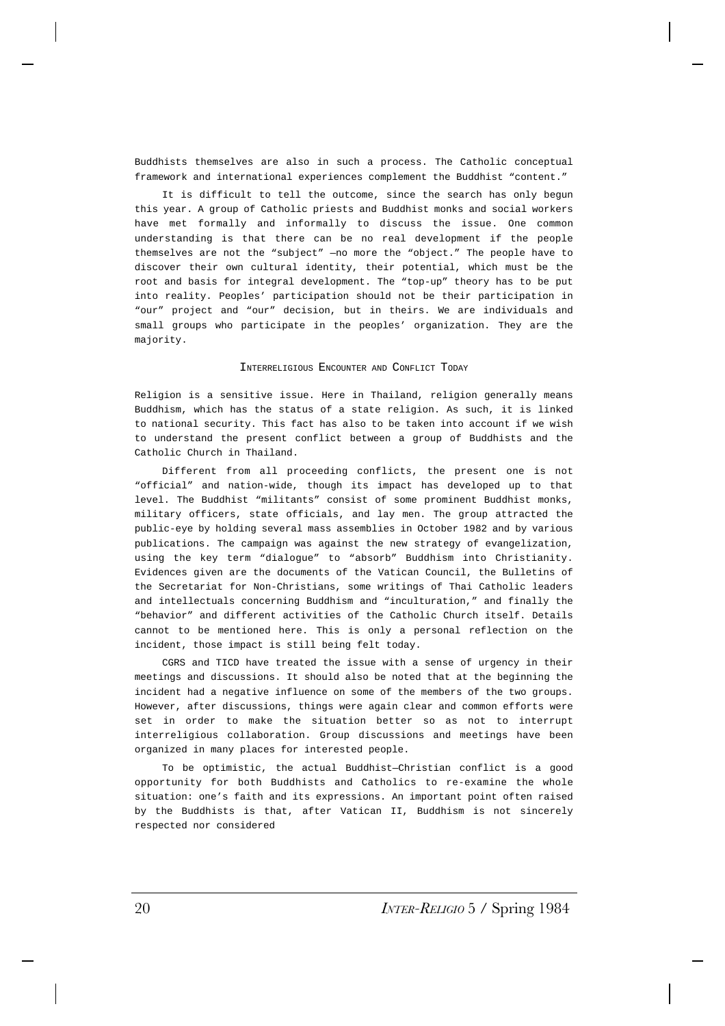Buddhists themselves are also in such a process. The Catholic conceptual framework and international experiences complement the Buddhist "content."

It is difficult to tell the outcome, since the search has only begun this year. A group of Catholic priests and Buddhist monks and social workers have met formally and informally to discuss the issue. One common understanding is that there can be no real development if the people themselves are not the "subject" —no more the "object." The people have to discover their own cultural identity, their potential, which must be the root and basis for integral development. The "top-up" theory has to be put into reality. Peoples' participation should not be their participation in "our" project and "our" decision, but in theirs. We are individuals and small groups who participate in the peoples' organization. They are the majority.

# INTERRELIGIOUS ENCOUNTER AND CONFLICT TODAY

Religion is a sensitive issue. Here in Thailand, religion generally means Buddhism, which has the status of a state religion. As such, it is linked to national security. This fact has also to be taken into account if we wish to understand the present conflict between a group of Buddhists and the Catholic Church in Thailand.

Different from all proceeding conflicts, the present one is not "official" and nation-wide, though its impact has developed up to that level. The Buddhist "militants" consist of some prominent Buddhist monks, military officers, state officials, and lay men. The group attracted the public-eye by holding several mass assemblies in October 1982 and by various publications. The campaign was against the new strategy of evangelization, using the key term "dialogue" to "absorb" Buddhism into Christianity. Evidences given are the documents of the Vatican Council, the Bulletins of the Secretariat for Non-Christians, some writings of Thai Catholic leaders and intellectuals concerning Buddhism and "inculturation," and finally the "behavior" and different activities of the Catholic Church itself. Details cannot to be mentioned here. This is only a personal reflection on the incident, those impact is still being felt today.

CGRS and TICD have treated the issue with a sense of urgency in their meetings and discussions. It should also be noted that at the beginning the incident had a negative influence on some of the members of the two groups. However, after discussions, things were again clear and common efforts were set in order to make the situation better so as not to interrupt interreligious collaboration. Group discussions and meetings have been organized in many places for interested people.

To be optimistic, the actual Buddhist—Christian conflict is a good opportunity for both Buddhists and Catholics to re-examine the whole situation: one's faith and its expressions. An important point often raised by the Buddhists is that, after Vatican II, Buddhism is not sincerely respected nor considered